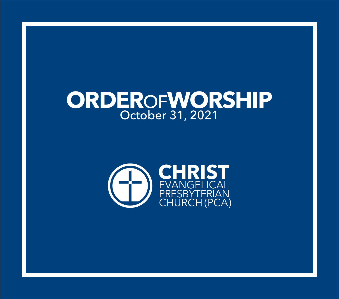# **ORDER**OF**WORSHIP** October 31, 2021

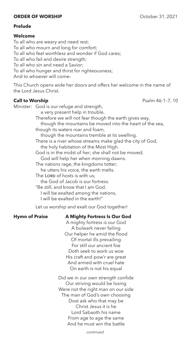## **ORDER OF WORSHIP** October 31, 2021

# **Prelude**

# **Welcome**

To all who are weary and need rest; To all who mourn and long for comfort; To all who feel worthless and wonder if God cares; To all who fail and desire strength; To all who sin and need a Savior; To all who hunger and thirst for righteousness; And to whoever will come–

This Church opens wide her doors and offers her welcome in the name of the Lord Jesus Christ.

## **Call to Worship Call to Worship Psalm 46:1-7, 10**

Minister: God is our refuge and strength, a very present help in trouble. Therefore we will not fear though the earth gives way, though the mountains be moved into the heart of the sea, though its waters roar and foam, though the mountains tremble at its swelling. There is a river whose streams make glad the city of God, the holy habitation of the Most High. God is in the midst of her; she shall not be moved; God will help her when morning dawns. The nations rage, the kingdoms totter; he utters his voice, the earth melts. The LORD of hosts is with us: the God of Jacob is our fortress. "Be still, and know that I am God. I will be exalted among the nations, I will be exalted in the earth!" Let us worship and exalt our God together!

# **Hymn of Praise A Mighty Fortress Is Our God**

A mighty fortress is our God A bulwark never failing Our helper he amid the flood Of mortal ills prevailing For still our ancient foe Doth seek to work us woe His craft and pow'r are great And armed with cruel hate On earth is not his equal

Did we in our own strength confide Our striving would be losing Were not the right man on our side The man of God's own choosing Dost ask who that may be Christ Jesus it is he Lord Sabaoth his name From age to age the same And he must win the battle

*continued*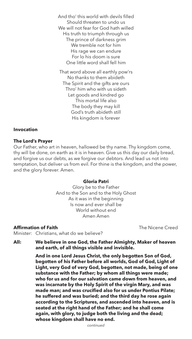And tho' this world with devils filled Should threaten to undo us We will not fear for God hath willed His truth to triumph through us The prince of darkness grim We tremble not for him His rage we can endure For lo his doom is sure One little word shall fell him

That word above all earthly pow'rs No thanks to them abideth The Spirit and the gifts are ours Thro' him who with us sideth Let goods and kindred go This mortal life also The body they may kill God's truth abideth still His kingdom is forever

## **Invocation**

#### **The Lord's Prayer**

Our Father, who art in heaven, hallowed be thy name. Thy kingdom come, thy will be done, on earth as it is in heaven. Give us this day our daily bread, and forgive us our debts, as we forgive our debtors. And lead us not into temptation, but deliver us from evil. For thine is the kingdom, and the power, and the glory forever. Amen.

#### **Gloria Patri**

Glory be to the Father And to the Son and to the Holy Ghost As it was in the beginning Is now and ever shall be World without end Amen Amen

#### **Affirmation of Faith** The Nicene Creed

Minister: Christians, what do we believe?

**All: We believe in one God, the Father Almighty, Maker of heaven and earth, of all things visible and invisible.**

> **And in one Lord Jesus Christ, the only begotten Son of God, begotten of his Father before all worlds, God of God, Light of Light, very God of very God, begotten, not made, being of one substance with the Father; by whom all things were made; who for us and for our salvation came down from heaven, and was incarnate by the Holy Spirit of the virgin Mary, and was made man; and was crucified also for us under Pontius Pilate; he suffered and was buried; and the third day he rose again according to the Scriptures, and ascended into heaven, and is seated at the right hand of the Father; and he shall come again, with glory, to judge both the living and the dead; whose kingdom shall have no end.**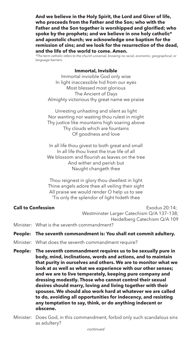**And we believe in the Holy Spirit, the Lord and Giver of life, who proceeds from the Father and the Son; who with the Father and the Son together is worshipped and glorified; who spoke by the prophets; and we believe in one holy catholic\* and apostolic church; we acknowledge one baptism for the remission of sins; and we look for the resurrection of the dead, and the life of the world to come. Amen.**

*\*The term catholic refers to the church universal, knowing no racial, economic, geographical, or language barriers.*

## **Immortal, Invisible**

Immortal invisible God only wise In light inaccessible hid from our eyes Most blessed most glorious The Ancient of Days Almighty victorious thy great name we praise

Unresting unhasting and silent as light Nor wanting nor wasting thou rulest in might Thy justice like mountains high soaring above Thy clouds which are fountains Of goodness and love

In all life thou givest to both great and small In all life thou livest the true life of all We blossom and flourish as leaves on the tree And wither and perish but Naught changeth thee

Thou reignest in glory thou dwellest in light Thine angels adore thee all veiling their sight All praise we would render O help us to see 'Tis only the splendor of light hideth thee

**Call to Confession** Exodus 20:14; Westminster Larger Catechism Q/A 137–138; Heidelberg Catechism Q/A 109

Minister: What is the seventh commandment?

#### **People: The seventh commandment is: You shall not commit adultery.**

Minister: What does the seventh commandment require?

**People: The seventh commandment requires us to be sexually pure in body, mind, inclinations, words and actions, and to maintain that purity in ourselves and others. We are to monitor what we look at as well as what we experience with our other senses; and we are to live temperately, keeping pure company and dressing modestly. Those who cannot control their sexual desires should marry, loving and living together with their spouses. We should also work hard at whatever we are called to do, avoiding all opportunities for indecency, and resisting any temptation to say, think, or do anything indecent or obscene.**

Minister: Does God, in this commandment, forbid only such scandalous sins as adultery?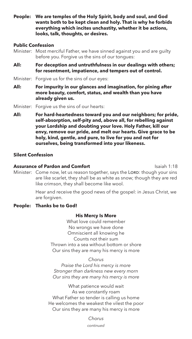**People: We are temples of the Holy Spirit, body and soul, and God wants both to be kept clean and holy. That is why he forbids everything which incites unchastity, whether it be actions, looks, talk, thoughts, or desires.**

# **Public Confession**

- Minister: Most merciful Father, we have sinned against you and are guilty before you. Forgive us the sins of our tongues:
- **All: For deception and untruthfulness in our dealings with others; for resentment, impatience, and tempers out of control.**
- Minister: Forgive us for the sins of our eyes:
- **All: For impurity in our glances and imagination, for pining after more beauty, comfort, status, and wealth than you have already given us.**
- Minister: Forgive us the sins of our hearts:
- **All: For hard-heartedness toward you and our neighbors; for pride, self-absorption, self-pity and, above all, for rebelling against your Lordship and doubting your love. Holy Father, kill our envy, remove our pride, and melt our hearts. Give grace to be holy, kind, gentle, and pure, to live for you and not for ourselves, being transformed into your likeness.**

# **Silent Confession**

#### **Assurance of Pardon and Comfort Integral Island 1:18**

Minister: Come now, let us reason together, says the LORD: though your sins are like scarlet, they shall be as white as snow; though they are red like crimson, they shall become like wool.

> Hear and receive the good news of the gospel: in Jesus Christ, we are forgiven.

# **People: Thanks be to God!**

#### **His Mercy Is More**

What love could remember No wrongs we have done Omniscient all knowing he Counts not their sum Thrown into a sea without bottom or shore Our sins they are many his mercy is more

#### *Chorus*

*Praise the Lord his mercy is more Stronger than darkness new every morn Our sins they are many his mercy is more*

What patience would wait As we constantly roam What Father so tender is calling us home He welcomes the weakest the vilest the poor Our sins they are many his mercy is more

> *Chorus continued*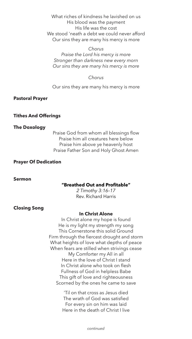What riches of kindness he lavished on us His blood was the payment His life was the cost We stood 'neath a debt we could never afford Our sins they are many his mercy is more

*Chorus*

*Praise the Lord his mercy is more Stronger than darkness new every morn Our sins they are many his mercy is more*

#### *Chorus*

Our sins they are many his mercy is more

**Pastoral Prayer**

#### **Tithes And Offerings**

#### **The Doxology**

Praise God from whom all blessings flow Praise him all creatures here below Praise him above ye heavenly host Praise Father Son and Holy Ghost Amen

#### **Prayer Of Dedication**

**Sermon** 

#### **"Breathed Out and Profitable"**

*2 Timothy 3:16–17* Rev. Richard Harris

#### **Closing Song**

#### **In Christ Alone**

In Christ alone my hope is found He is my light my strength my song This Cornerstone this solid Ground Firm through the fiercest drought and storm What heights of love what depths of peace When fears are stilled when strivings cease My Comforter my All in all Here in the love of Christ I stand In Christ alone who took on flesh Fullness of God in helpless Babe This gift of love and righteousness Scorned by the ones he came to save

> 'Til on that cross as Jesus died The wrath of God was satisfied For every sin on him was laid Here in the death of Christ I live